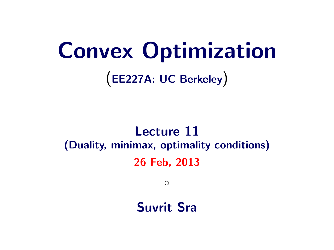# Convex Optimization (EE227A: UC Berkeley)

# Lecture 11 (Duality, minimax, optimality conditions) 26 Feb, 2013

 $\circ$ 

Suvrit Sra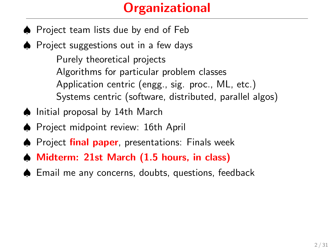# **Organizational**

- ♠ Project team lists due by end of Feb
- ♠ Project suggestions out in a few days

Purely theoretical projects Algorithms for particular problem classes Application centric (engg., sig. proc., ML, etc.) Systems centric (software, distributed, parallel algos)

- ♠ Initial proposal by 14th March
- ♠ Project midpoint review: 16th April
- ♦ Project final paper, presentations: Finals week
- ♠ Midterm: 21st March (1.5 hours, in class)
- ♠ Email me any concerns, doubts, questions, feedback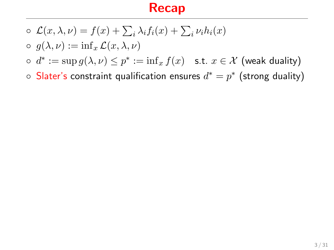#### Recap

- $\circ \mathcal{L}(x,\lambda,\nu) = f(x) + \sum_i \lambda_i f_i(x) + \sum_i \nu_i h_i(x)$
- $\circ$   $q(\lambda, \nu) := \inf_x \mathcal{L}(x, \lambda, \nu)$
- $\circ \, d^* := \sup g(\lambda, \nu) \leq p^* := \inf_x f(x) \quad \text{s.t. } x \in \mathcal{X} \text{ (weak duality)}$
- $\circ$  Slater's constraint qualification ensures  $d^*=p^*$  (strong duality)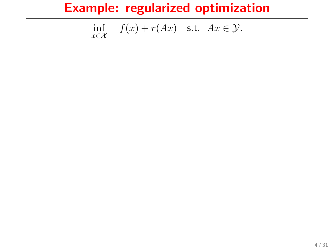$$
\inf_{x \in \mathcal{X}} f(x) + r(Ax) \quad \text{s.t.} \quad Ax \in \mathcal{Y}.
$$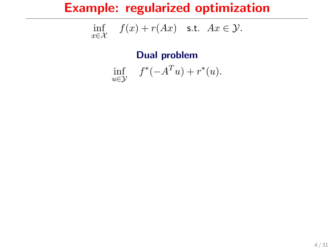$$
\inf_{x \in \mathcal{X}} f(x) + r(Ax) \quad \text{s.t.} \quad Ax \in \mathcal{Y}.
$$

Dual problem

$$
\inf_{u \in \mathcal{Y}} f^*(-A^T u) + r^*(u).
$$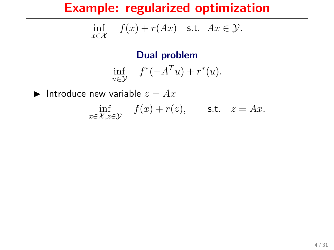$$
\inf_{x \in \mathcal{X}} f(x) + r(Ax) \quad \text{s.t.} \quad Ax \in \mathcal{Y}.
$$

Dual problem

$$
\inf_{u \in \mathcal{Y}} f^*(-A^T u) + r^*(u).
$$

Introduce new variable  $z = Ax$ 

 $\inf_{x \in \mathcal{X}, z \in \mathcal{Y}} f(x) + r(z), \quad \text{s.t.} \quad z = Ax.$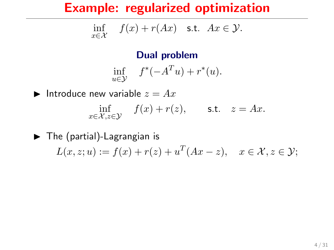$$
\inf_{x \in \mathcal{X}} f(x) + r(Ax) \quad \text{s.t.} \quad Ax \in \mathcal{Y}.
$$

#### Dual problem

$$
\inf_{u \in \mathcal{Y}} f^*(-A^T u) + r^*(u).
$$

Introduce new variable  $z = Ax$  $\inf_{x \in \mathcal{X}, z \in \mathcal{Y}} f(x) + r(z), \quad \text{s.t.} \quad z = Ax.$ 

 $\blacktriangleright$  The (partial)-Lagrangian is  $L(x, z; u) := f(x) + r(z) + u^{T}(Ax - z), \quad x \in \mathcal{X}, z \in \mathcal{Y};$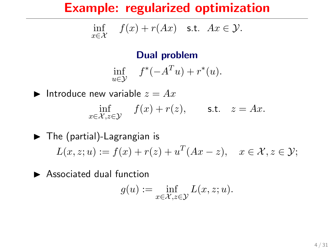$$
\inf_{x \in \mathcal{X}} f(x) + r(Ax) \quad \text{s.t.} \quad Ax \in \mathcal{Y}.
$$

#### Dual problem

$$
\inf_{u \in \mathcal{Y}} f^*(-A^T u) + r^*(u).
$$

Introduce new variable  $z = Ax$  $\inf_{x \in \mathcal{X}, z \in \mathcal{Y}} f(x) + r(z), \quad \text{s.t.} \quad z = Ax.$ 

 $\blacktriangleright$  The (partial)-Lagrangian is  $L(x, z; u) := f(x) + r(z) + u^{T}(Ax - z), \quad x \in \mathcal{X}, z \in \mathcal{Y};$ 

 $\blacktriangleright$  Associated dual function

$$
g(u):=\inf_{x\in\mathcal{X},z\in\mathcal{Y}}L(x,z;u).
$$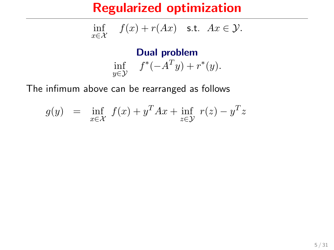$$
\inf_{x \in \mathcal{X}} f(x) + r(Ax) \quad \text{s.t.} \quad Ax \in \mathcal{Y}.
$$

Dual problem inf  $f^*(-A^Ty) + r^*(y)$ .

The infimum above can be rearranged as follows

$$
g(y) = \inf_{x \in \mathcal{X}} f(x) + y^T A x + \inf_{z \in \mathcal{Y}} r(z) - y^T z
$$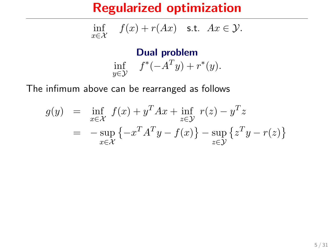$$
\inf_{x \in \mathcal{X}} f(x) + r(Ax) \quad \text{s.t.} \quad Ax \in \mathcal{Y}.
$$

Dual problem inf  $f^*(-A^Ty) + r^*(y)$ .

The infimum above can be rearranged as follows

$$
g(y) = \inf_{x \in \mathcal{X}} f(x) + y^T A x + \inf_{z \in \mathcal{Y}} r(z) - y^T z
$$
  
= 
$$
-\sup_{x \in \mathcal{X}} \{-x^T A^T y - f(x)\} - \sup_{z \in \mathcal{Y}} \{z^T y - r(z)\}
$$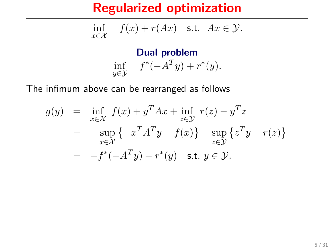$$
\inf_{x \in \mathcal{X}} f(x) + r(Ax) \quad \text{s.t.} \quad Ax \in \mathcal{Y}.
$$

Dual problem inf  $f^*(-A^Ty) + r^*(y)$ .

The infimum above can be rearranged as follows

$$
g(y) = \inf_{x \in \mathcal{X}} f(x) + y^T A x + \inf_{z \in \mathcal{Y}} r(z) - y^T z
$$
  
= 
$$
-\sup_{x \in \mathcal{X}} \{-x^T A^T y - f(x)\} - \sup_{z \in \mathcal{Y}} \{z^T y - r(z)\}
$$
  
= 
$$
-f^*(-A^T y) - r^*(y) \quad \text{s.t. } y \in \mathcal{Y}.
$$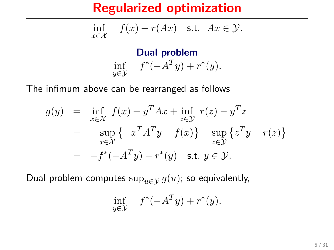$$
\inf_{x \in \mathcal{X}} f(x) + r(Ax) \quad \text{s.t.} \quad Ax \in \mathcal{Y}.
$$

Dual problem inf  $f^*(-A^Ty) + r^*(y)$ .

The infimum above can be rearranged as follows

$$
g(y) = \inf_{x \in \mathcal{X}} f(x) + y^T A x + \inf_{z \in \mathcal{Y}} r(z) - y^T z
$$
  
=  $-\sup_{x \in \mathcal{X}} \{-x^T A^T y - f(x)\} - \sup_{z \in \mathcal{Y}} \{z^T y - r(z)\}$   
=  $-f^*(-A^T y) - r^*(y)$  s.t.  $y \in \mathcal{Y}$ .

Dual problem computes  $\sup_{u\in\mathcal{Y}} g(u)$ ; so equivalently,

$$
\inf_{y \in \mathcal{Y}} f^*(-A^T y) + r^*(y).
$$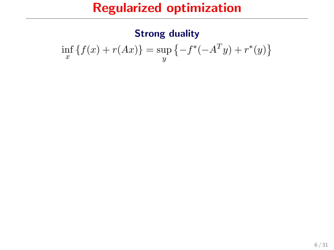#### Strong duality

$$
\inf_{x} \{ f(x) + r(Ax) \} = \sup_{y} \{ -f^{*}(-A^{T}y) + r^{*}(y) \}
$$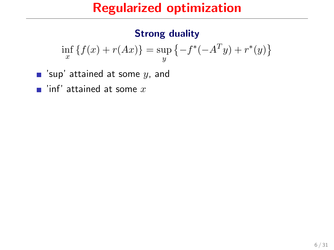#### Strong duality

$$
\inf_{x} \{ f(x) + r(Ax) \} = \sup_{y} \{ -f^{*}(-A^{T}y) + r^{*}(y) \}
$$

- $\blacksquare$  'sup' attained at some y, and
- $\blacksquare$  'inf' attained at some x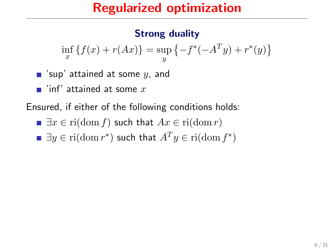#### Strong duality

$$
\inf_{x} \{ f(x) + r(Ax) \} = \sup_{y} \{ -f^{*}(-A^{T}y) + r^{*}(y) \}
$$

 $\blacksquare$  'sup' attained at some y, and

 $\blacksquare$  'inf' attained at some x

Ensured, if either of the following conditions holds:

$$
\blacksquare \exists x \in \text{ri}(\text{dom } f) \text{ such that } Ax \in \text{ri}(\text{dom } r)
$$

$$
\blacksquare \exists y \in \text{ri}(\text{dom } r^*) \text{ such that } A^T y \in \text{ri}(\text{dom } f^*)
$$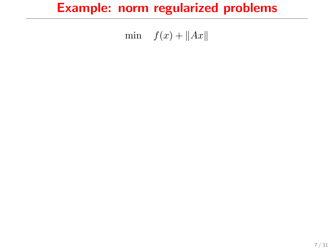# Example: norm regularized problems

min  $f(x) + ||Ax||$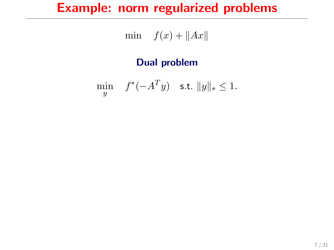# Example: norm regularized problems

$$
\min \quad f(x) + \|Ax\|
$$

#### Dual problem

$$
\min_{y} \quad f^*(-A^T y) \quad \text{s.t. } \|y\|_* \le 1.
$$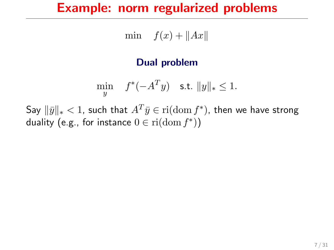#### Example: norm regularized problems

min  $f(x) + ||Ax||$ 

#### Dual problem

$$
\min_{y} \quad f^*(-A^T y) \quad \text{s.t. } \|y\|_* \le 1.
$$

Say  $\|\bar{y}\|_* < 1$ , such that  $A^T\bar{y}\in \mathrm{ri}(\mathrm{dom}\, f^*)$ , then we have strong duality (e.g., for instance  $0 \in \mathrm{ri}(\mathrm{dom}\, f^*))$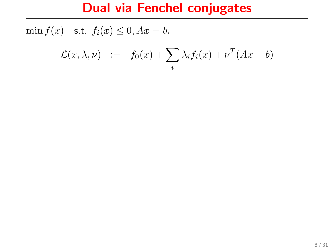$$
\mathcal{L}(x,\lambda,\nu) \quad := \quad f_0(x) + \sum_i \lambda_i f_i(x) + \nu^T (Ax - b)
$$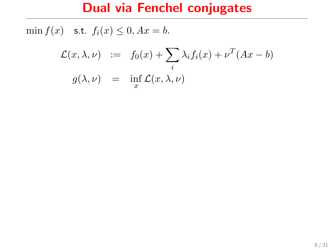$$
\mathcal{L}(x,\lambda,\nu) := f_0(x) + \sum_i \lambda_i f_i(x) + \nu^T (Ax - b)
$$
  

$$
g(\lambda,\nu) = \inf_x \mathcal{L}(x,\lambda,\nu)
$$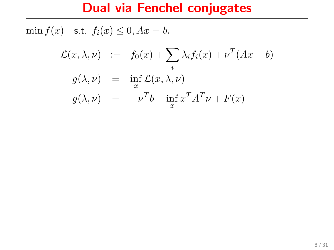$$
\mathcal{L}(x,\lambda,\nu) := f_0(x) + \sum_i \lambda_i f_i(x) + \nu^T (Ax - b)
$$
  
\n
$$
g(\lambda,\nu) = \inf_x \mathcal{L}(x,\lambda,\nu)
$$
  
\n
$$
g(\lambda,\nu) = -\nu^T b + \inf_x x^T A^T \nu + F(x)
$$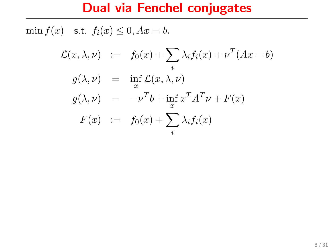$$
\mathcal{L}(x,\lambda,\nu) := f_0(x) + \sum_i \lambda_i f_i(x) + \nu^T (Ax - b)
$$
  
\n
$$
g(\lambda,\nu) = \inf_x \mathcal{L}(x,\lambda,\nu)
$$
  
\n
$$
g(\lambda,\nu) = -\nu^T b + \inf_x x^T A^T \nu + F(x)
$$
  
\n
$$
F(x) := f_0(x) + \sum_i \lambda_i f_i(x)
$$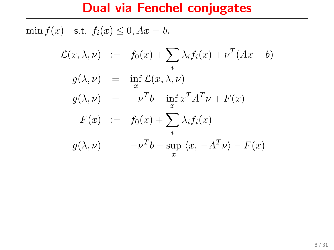$$
\mathcal{L}(x, \lambda, \nu) := f_0(x) + \sum_i \lambda_i f_i(x) + \nu^T (Ax - b)
$$
  
\n
$$
g(\lambda, \nu) = \inf_x \mathcal{L}(x, \lambda, \nu)
$$
  
\n
$$
g(\lambda, \nu) = -\nu^T b + \inf_x x^T A^T \nu + F(x)
$$
  
\n
$$
F(x) := f_0(x) + \sum_i \lambda_i f_i(x)
$$
  
\n
$$
g(\lambda, \nu) = -\nu^T b - \sup_x \langle x, -A^T \nu \rangle - F(x)
$$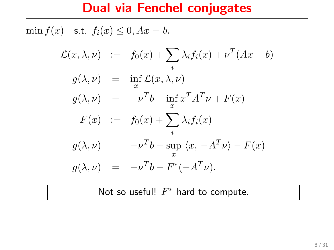min  $f(x)$  s.t.  $f_i(x) \leq 0$ ,  $Ax = b$ .

$$
\mathcal{L}(x,\lambda,\nu) := f_0(x) + \sum_i \lambda_i f_i(x) + \nu^T (Ax - b)
$$
  
\n
$$
g(\lambda,\nu) = \inf_x \mathcal{L}(x,\lambda,\nu)
$$
  
\n
$$
g(\lambda,\nu) = -\nu^T b + \inf_x x^T A^T \nu + F(x)
$$
  
\n
$$
F(x) := f_0(x) + \sum_i \lambda_i f_i(x)
$$
  
\n
$$
g(\lambda,\nu) = -\nu^T b - \sup_x \langle x, -A^T \nu \rangle - F(x)
$$
  
\n
$$
g(\lambda,\nu) = -\nu^T b - F^*(-A^T \nu).
$$

Not so useful!  $F^*$  hard to compute.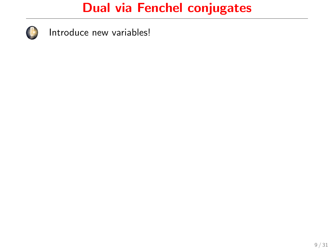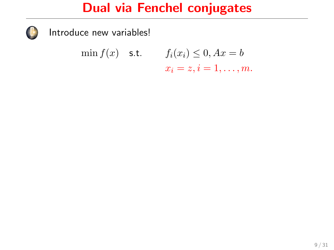

$$
\min f(x) \quad \text{s.t.} \qquad f_i(x_i) \leq 0, Ax = b
$$

$$
x_i = z, i = 1, \dots, m.
$$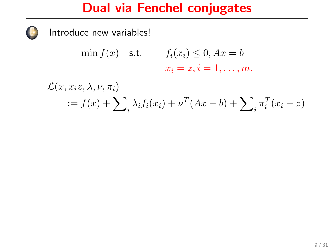$$
\min f(x) \quad \text{s.t.} \qquad f_i(x_i) \le 0, Ax = b
$$

$$
x_i = z, i = 1, \dots, m.
$$

$$
\mathcal{L}(x, x_i z, \lambda, \nu, \pi_i)
$$
  
 :=  $f(x) + \sum_i \lambda_i f_i(x_i) + \nu^T (Ax - b) + \sum_i \pi_i^T (x_i - z)$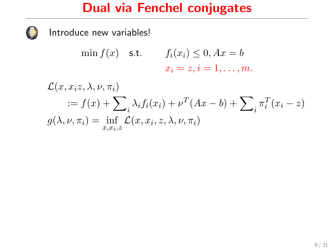Introduce new variables!

$$
\min f(x) \quad \text{s.t.} \qquad f_i(x_i) \le 0, Ax = b
$$

$$
x_i = z, i = 1, \dots, m.
$$

 $\mathcal{L}(x, x_i z, \lambda, \nu, \pi_i)$  $:= f(x) + \sum_{i} \lambda_i f_i(x_i) + \nu^T (Ax - b) + \sum_{i} \pi_i^T (x_i - z)$  $g(\lambda, \nu, \pi_i) = \inf_{x, x_i, z} \mathcal{L}(x, x_i, z, \lambda, \nu, \pi_i)$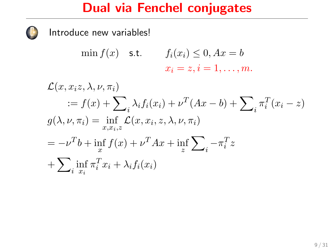Introduce new variables!

$$
\min f(x) \quad \text{s.t.} \quad f_i(x_i) \le 0, Ax = b
$$

$$
x_i = z, i = 1, \dots, m.
$$

 $\mathcal{L}(x, x_i z, \lambda, \nu, \pi_i)$  $:= f(x) + \sum_{i} \lambda_i f_i(x_i) + \nu^T (Ax - b) + \sum_{i} \pi_i^T (x_i - z)$  $g(\lambda, \nu, \pi_i) = \inf_{x, x_i, z} \mathcal{L}(x, x_i, z, \lambda, \nu, \pi_i)$  $=-\nu^T b + \inf_x f(x) + \nu^T Ax + \inf_z$  $\sum$  $-\pi_i^T z$  $+\sum$  $\inf_{i} \pi_i^T x_i + \lambda_i f_i(x_i)$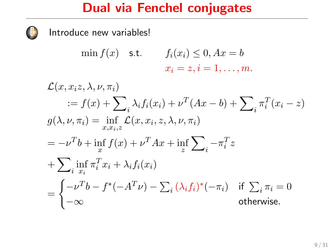$$
\min f(x) \quad \text{s.t.} \qquad f_i(x_i) \le 0, Ax = b
$$

$$
x_i = z, i = 1, \dots, m.
$$

$$
\mathcal{L}(x, x_i z, \lambda, \nu, \pi_i)
$$
  
\n
$$
:= f(x) + \sum_i \lambda_i f_i(x_i) + \nu^T (Ax - b) + \sum_i \pi_i^T (x_i - z)
$$
  
\n
$$
g(\lambda, \nu, \pi_i) = \inf_{x, x_i, z} \mathcal{L}(x, x_i, z, \lambda, \nu, \pi_i)
$$
  
\n
$$
= -\nu^T b + \inf_x f(x) + \nu^T Ax + \inf_z \sum_i -\pi_i^T z
$$
  
\n
$$
+ \sum_i \inf_{x_i} \pi_i^T x_i + \lambda_i f_i(x_i)
$$
  
\n
$$
= \begin{cases} -\nu^T b - f^*(-A^T \nu) - \sum_i (\lambda_i f_i)^*(-\pi_i) & \text{if } \sum_i \pi_i = 0 \\ -\infty & \text{otherwise.} \end{cases}
$$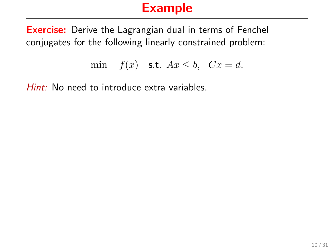# Example

**Exercise:** Derive the Lagrangian dual in terms of Fenchel conjugates for the following linearly constrained problem:

$$
\min \quad f(x) \quad \text{s.t.} \quad Ax \leq b, \quad Cx = d.
$$

Hint: No need to introduce extra variables.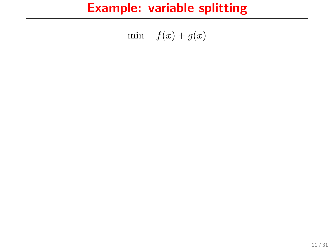min  $f(x) + g(x)$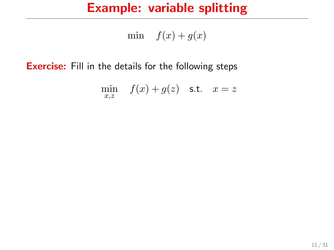min  $f(x) + g(x)$ 

**Exercise:** Fill in the details for the following steps

$$
\min_{x,z} \quad f(x) + g(z) \quad \text{s.t.} \quad x = z
$$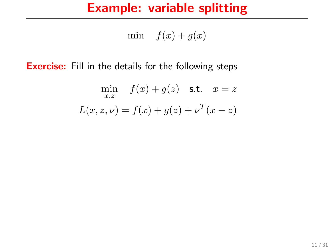min  $f(x) + g(x)$ 

**Exercise:** Fill in the details for the following steps

$$
\min_{x,z} f(x) + g(z) \quad \text{s.t.} \quad x = z
$$

$$
L(x, z, \nu) = f(x) + g(z) + \nu^{T}(x - z)
$$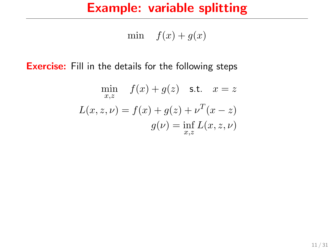min  $f(x) + g(x)$ 

**Exercise:** Fill in the details for the following steps

$$
\min_{x,z} f(x) + g(z) \quad \text{s.t.} \quad x = z
$$
\n
$$
L(x, z, \nu) = f(x) + g(z) + \nu^{T}(x - z)
$$
\n
$$
g(\nu) = \inf_{x,z} L(x, z, \nu)
$$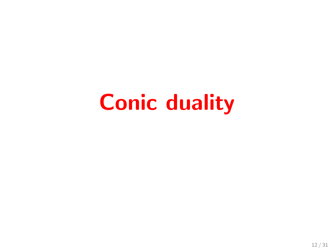# Conic duality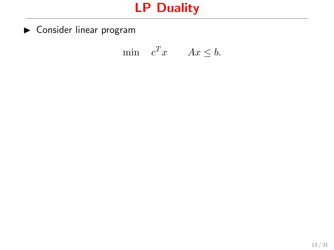$\blacktriangleright$  Consider linear program

$$
\min \quad c^T x \qquad Ax \leq b.
$$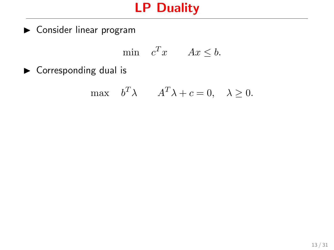$\blacktriangleright$  Consider linear program

$$
\min \quad c^T x \qquad Ax \leq b.
$$

 $\blacktriangleright$  Corresponding dual is

$$
\max \quad b^T \lambda \qquad A^T \lambda + c = 0, \quad \lambda \ge 0.
$$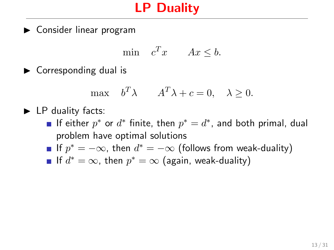$\triangleright$  Consider linear program

$$
\min \quad c^T x \qquad Ax \leq b.
$$

 $\blacktriangleright$  Corresponding dual is

$$
\max \quad b^T \lambda \qquad A^T \lambda + c = 0, \quad \lambda \ge 0.
$$

### $\blacktriangleright$  LP duality facts:

- If either  $p^*$  or  $d^*$  finite, then  $p^* = d^*$ , and both primal, dual problem have optimal solutions
- If  $p^* = -\infty$ , then  $d^* = -\infty$  (follows from weak-duality)
- If  $d^* = \infty$ , then  $p^* = \infty$  (again, weak-duality)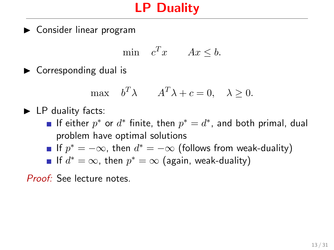$\triangleright$  Consider linear program

$$
\min \quad c^T x \qquad Ax \leq b.
$$

 $\blacktriangleright$  Corresponding dual is

$$
\max \quad b^T \lambda \qquad A^T \lambda + c = 0, \quad \lambda \ge 0.
$$

### $\blacktriangleright$  LP duality facts:

- If either  $p^*$  or  $d^*$  finite, then  $p^* = d^*$ , and both primal, dual problem have optimal solutions
- If  $p^* = -\infty$ , then  $d^* = -\infty$  (follows from weak-duality)

If 
$$
d^* = \infty
$$
, then  $p^* = \infty$  (again, weak-duality)

Proof: See lecture notes.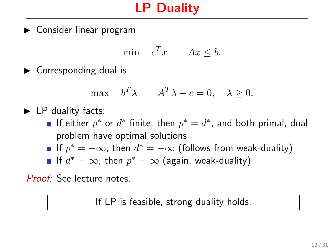$\triangleright$  Consider linear program

$$
\min \quad c^T x \qquad Ax \leq b.
$$

 $\blacktriangleright$  Corresponding dual is

$$
\max \quad b^T \lambda \qquad A^T \lambda + c = 0, \quad \lambda \ge 0.
$$

 $\blacktriangleright$  LP duality facts:

- If either  $p^*$  or  $d^*$  finite, then  $p^* = d^*$ , and both primal, dual problem have optimal solutions
- If  $p^* = -\infty$ , then  $d^* = -\infty$  (follows from weak-duality)

If 
$$
d^* = \infty
$$
, then  $p^* = \infty$  (again, weak-duality)

Proof: See lecture notes.

If LP is feasible, strong duality holds.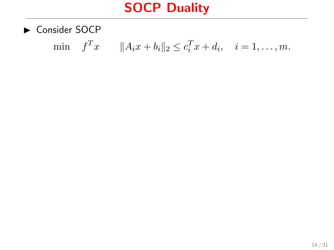$\triangleright$  Consider SOCP

min 
$$
f^T x
$$
  $||A_i x + b_i||_2 \le c_i^T x + d_i$ ,  $i = 1,..., m$ .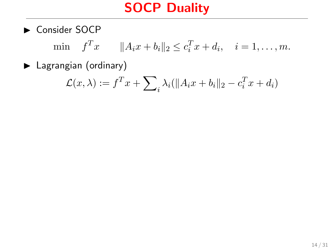Consider SOCP

min  $f^T x$   $||A_i x + b_i||_2 \le c_i^T x + d_i$ ,  $i = 1, ..., m$ .

 $\blacktriangleright$  Lagrangian (ordinary)

$$
\mathcal{L}(x,\lambda) := f^T x + \sum_{i} \lambda_i (\|A_i x + b_i\|_2 - c_i^T x + d_i)
$$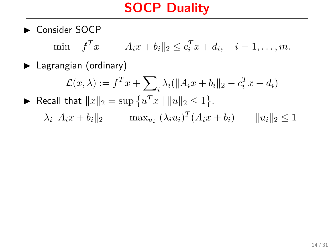$\blacktriangleright$  Consider SOCP

min  $f^T x$   $||A_i x + b_i||_2 \le c_i^T x + d_i$ ,  $i = 1, ..., m$ .

▶ Lagrangian (ordinary)

 $\mathcal{L}(x,\lambda):=f^Tx+\sum$  $i \lambda_i (\|A_i x + b_i\|_2 - c_i^T x + d_i)$ ▶ Recall that  $||x||_2 = \sup \{u^T x \mid ||u||_2 \le 1\}.$  $\lambda_i \| A_i x + b_i \|_2 = \max_{u_i} (\lambda_i u_i)^T (A_i x + b_i) \qquad \| u_i \|_2 \leq 1$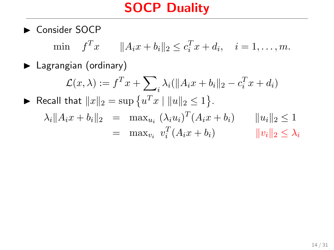Consider SOCP

min  $f^T x$   $||A_i x + b_i||_2 \le c_i^T x + d_i$ ,  $i = 1, ..., m$ .

 $\blacktriangleright$  Lagrangian (ordinary)

$$
\mathcal{L}(x,\lambda) := f^T x + \sum_{i} \lambda_i (\|A_i x + b_i\|_2 - c_i^T x + d_i)
$$
  
\n
$$
\blacktriangleright \text{ Recall that } \|x\|_2 = \sup \{u^T x \mid \|u\|_2 \le 1\}.
$$
  
\n
$$
\lambda_i \|A_i x + b_i\|_2 = \max_{u_i} (\lambda_i u_i)^T (A_i x + b_i) \qquad \|u_i\|_2 \le 1
$$
  
\n
$$
= \max_{v_i} v_i^T (A_i x + b_i) \qquad \|v_i\|_2 \le \lambda_i
$$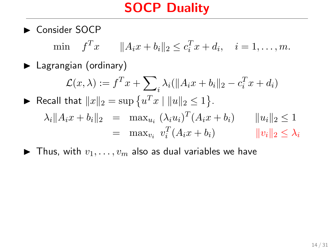$\blacktriangleright$  Consider SOCP

min  $f^T x$   $||A_i x + b_i||_2 \le c_i^T x + d_i$ ,  $i = 1, ..., m$ .

 $\blacktriangleright$  Lagrangian (ordinary)

$$
\mathcal{L}(x,\lambda) := f^T x + \sum_{i} \lambda_i (\|A_i x + b_i\|_2 - c_i^T x + d_i)
$$
  
\n
$$
\blacktriangleright \text{ Recall that } \|x\|_2 = \sup \{u^T x \mid \|u\|_2 \le 1\}.
$$
  
\n
$$
\lambda_i \|A_i x + b_i\|_2 = \max_{u_i} (\lambda_i u_i)^T (A_i x + b_i) \qquad \|u_i\|_2 \le 1
$$
  
\n
$$
= \max_{v_i} v_i^T (A_i x + b_i) \qquad \|v_i\|_2 \le \lambda_i
$$

 $\blacktriangleright$  Thus, with  $v_1, \ldots, v_m$  also as dual variables we have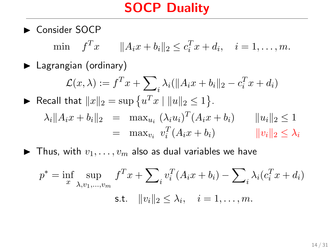$\blacktriangleright$  Consider SOCP

min  $f^T x$   $||A_i x + b_i||_2 \le c_i^T x + d_i$ ,  $i = 1, ..., m$ .

 $\blacktriangleright$  Lagrangian (ordinary)

 $\mathcal{L}(x,\lambda):=f^Tx+\sum$  $i \lambda_i (\|A_i x + b_i\|_2 - c_i^T x + d_i)$ ▶ Recall that  $||x||_2 = \sup \{u^T x \mid ||u||_2 \le 1\}.$  $\lambda_i \| A_i x + b_i \|_2 = \max_{u_i} (\lambda_i u_i)^T (A_i x + b_i) \qquad \| u_i \|_2 \leq 1$  $=$  max<sub>v<sub>i</sub></sub>  $v_i^T$  $||v_i||_2 < \lambda_i$ 

 $\blacktriangleright$  Thus, with  $v_1, \ldots, v_m$  also as dual variables we have

$$
p^* = \inf_x \sup_{\lambda, v_1, \dots, v_m} f^T x + \sum_i v_i^T (A_i x + b_i) - \sum_i \lambda_i (c_i^T x + d_i)
$$
  
s.t.  $||v_i||_2 \leq \lambda_i$ ,  $i = 1, \dots, m$ .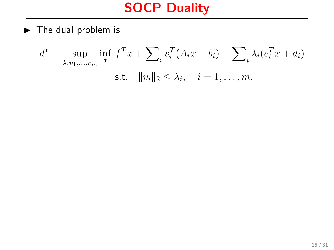$\blacktriangleright$  The dual problem is

$$
d^* = \sup_{\lambda, v_1, ..., v_m} \inf_{x} f^T x + \sum_{i} v_i^T (A_i x + b_i) - \sum_{i} \lambda_i (c_i^T x + d_i)
$$
  
s.t.  $||v_i||_2 \leq \lambda_i$ ,  $i = 1, ..., m$ .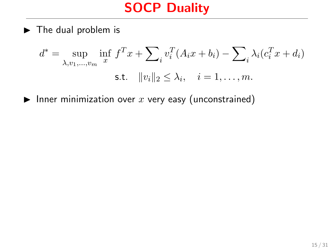$\blacktriangleright$  The dual problem is

$$
d^* = \sup_{\lambda, v_1, \dots, v_m} \inf_x f^T x + \sum_i v_i^T (A_i x + b_i) - \sum_i \lambda_i (c_i^T x + d_i)
$$
  
s.t.  $||v_i||_2 \leq \lambda_i$ ,  $i = 1, \dots, m$ .

Inner minimization over x very easy (unconstrained)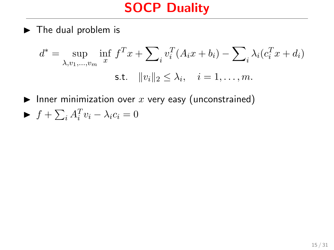$\blacktriangleright$  The dual problem is

$$
d^* = \sup_{\lambda, v_1, ..., v_m} \inf_x f^T x + \sum_i v_i^T (A_i x + b_i) - \sum_i \lambda_i (c_i^T x + d_i)
$$
  
s.t.  $||v_i||_2 \leq \lambda_i$ ,  $i = 1, ..., m$ .

Inner minimization over  $x$  very easy (unconstrained)  $\blacktriangleright$   $f + \sum_i A_i^T v_i - \lambda_i c_i = 0$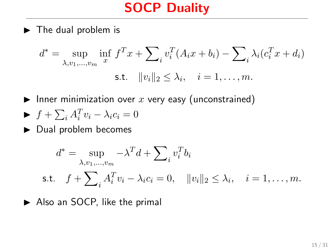$\blacktriangleright$  The dual problem is

$$
d^* = \sup_{\lambda, v_1, ..., v_m} \inf_{x} f^T x + \sum_{i} v_i^T (A_i x + b_i) - \sum_{i} \lambda_i (c_i^T x + d_i)
$$
  
s.t.  $||v_i||_2 \leq \lambda_i$ ,  $i = 1, ..., m$ .

Inner minimization over  $x$  very easy (unconstrained)

$$
\blacktriangleright f + \sum_i A_i^T v_i - \lambda_i c_i = 0
$$

 $\blacktriangleright$  Dual problem becomes

$$
d^* = \sup_{\lambda, v_1, \dots, v_m} -\lambda^T d + \sum_i v_i^T b_i
$$
  
s.t.  $f + \sum_i A_i^T v_i - \lambda_i c_i = 0$ ,  $||v_i||_2 \leq \lambda_i$ ,  $i = 1, \dots, m$ .

 $\blacktriangleright$  Also an SOCP, like the primal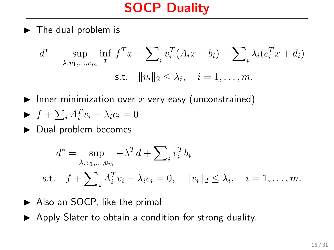$\blacktriangleright$  The dual problem is

$$
d^* = \sup_{\lambda, v_1, \dots, v_m} \inf_x f^T x + \sum_i v_i^T (A_i x + b_i) - \sum_i \lambda_i (c_i^T x + d_i)
$$
  
s.t.  $||v_i||_2 \leq \lambda_i$ ,  $i = 1, \dots, m$ .

Inner minimization over x very easy (unconstrained)

$$
\blacktriangleright f + \sum_i A_i^T v_i - \lambda_i c_i = 0
$$

 $\blacktriangleright$  Dual problem becomes

$$
d^* = \sup_{\lambda, v_1, \dots, v_m} -\lambda^T d + \sum_i v_i^T b_i
$$
  
s.t.  $f + \sum_i A_i^T v_i - \lambda_i c_i = 0$ ,  $||v_i||_2 \leq \lambda_i$ ,  $i = 1, \dots, m$ .

- $\blacktriangleright$  Also an SOCP, like the primal
- $\triangleright$  Apply Slater to obtain a condition for strong duality.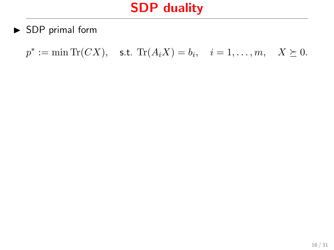$\blacktriangleright$  SDP primal form

 $p^* := \min \text{Tr}(CX)$ , s.t.  $\text{Tr}(A_i X) = b_i$ ,  $i = 1, ..., m$ ,  $X \succeq 0$ .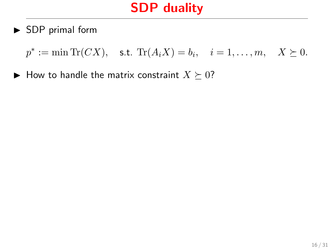$\triangleright$  SDP primal form

 $p^* := \min \text{Tr}(CX)$ , s.t.  $\text{Tr}(A_i X) = b_i$ ,  $i = 1, ..., m$ ,  $X \succeq 0$ .

 $\blacktriangleright$  How to handle the matrix constraint  $X \succeq 0$ ?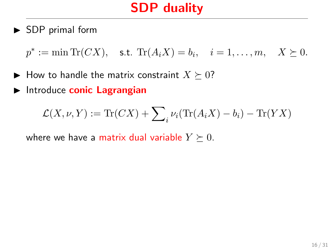$\triangleright$  SDP primal form

 $p^* := \min \text{Tr}(CX)$ , s.t.  $\text{Tr}(A_i X) = b_i$ ,  $i = 1, ..., m$ ,  $X \succeq 0$ .

- $\blacktriangleright$  How to handle the matrix constraint  $X \succeq 0$ ?
- Introduce conic Lagrangian

$$
\mathcal{L}(X,\nu,Y) := \text{Tr}(CX) + \sum_{i} \nu_i(\text{Tr}(A_iX) - b_i) - \text{Tr}(YX)
$$

where we have a matrix dual variable  $Y \succeq 0$ .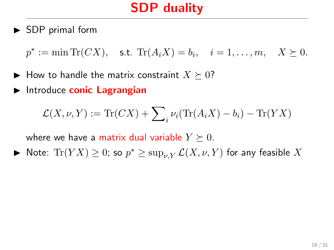$\triangleright$  SDP primal form

 $p^* := \min \text{Tr}(CX)$ , s.t.  $\text{Tr}(A_i X) = b_i$ ,  $i = 1, ..., m$ ,  $X \succeq 0$ .

- $\blacktriangleright$  How to handle the matrix constraint  $X \succeq 0$ ?
- $\blacktriangleright$  Introduce conic Lagrangian

$$
\mathcal{L}(X,\nu,Y) := \text{Tr}(CX) + \sum_{i} \nu_i(\text{Tr}(A_iX) - b_i) - \text{Tr}(YX)
$$

where we have a matrix dual variable  $Y \succeq 0$ .

► Note:  $\text{Tr}(YX) \geq 0$ ; so  $p^* \geq \sup_{\nu,Y} \mathcal{L}(X,\nu,Y)$  for any feasible  $X$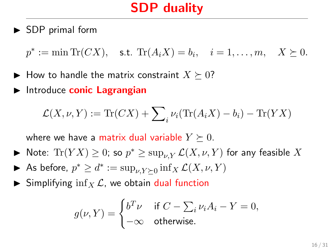$\triangleright$  SDP primal form

 $p^* := \min \text{Tr}(CX)$ , s.t.  $\text{Tr}(A_i X) = b_i$ ,  $i = 1, ..., m$ ,  $X \succeq 0$ .

- $\blacktriangleright$  How to handle the matrix constraint  $X \succeq 0$ ?
- $\blacktriangleright$  Introduce conic Lagrangian

$$
\mathcal{L}(X,\nu,Y) := \text{Tr}(CX) + \sum_{i} \nu_i(\text{Tr}(A_iX) - b_i) - \text{Tr}(YX)
$$

where we have a matrix dual variable  $Y \succeq 0$ .

- ► Note:  $\text{Tr}(YX) \geq 0$ ; so  $p^* \geq \sup_{\nu,Y} \mathcal{L}(X,\nu,Y)$  for any feasible  $X$
- As before,  $p^* \geq d^* := \sup_{\nu, Y \succeq 0} \inf_X \mathcal{L}(X, \nu, Y)$
- $\triangleright$  Simplifying inf<sub>X</sub>  $\mathcal{L}$ , we obtain dual function

$$
g(\nu, Y) = \begin{cases} b^T \nu & \text{if } C - \sum_i \nu_i A_i - Y = 0, \\ -\infty & \text{otherwise.} \end{cases}
$$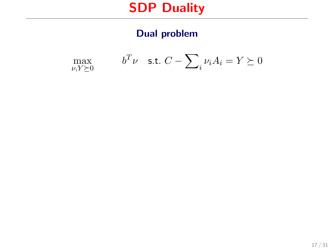### Dual problem

$$
\max_{\nu, Y \succeq 0} \qquad \qquad b^T \nu \quad \text{s.t. } C - \sum_{i} \nu_i A_i = Y \succeq 0
$$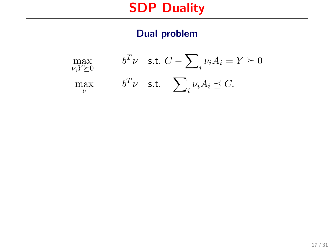### Dual problem

$$
\begin{aligned}\n\max_{\nu, Y \succeq 0} & b^T \nu \quad \text{s.t. } C - \sum_i \nu_i A_i = Y \succeq 0 \\
\max_{\nu} & b^T \nu \quad \text{s.t. } \sum_i \nu_i A_i \preceq C.\n\end{aligned}
$$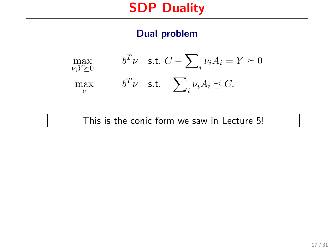### Dual problem

$$
\begin{aligned}\n\max_{\nu, Y \succeq 0} & b^T \nu \quad \text{s.t. } C - \sum_i \nu_i A_i = Y \succeq 0 \\
\max_{\nu} & b^T \nu \quad \text{s.t. } \sum_i \nu_i A_i \preceq C.\n\end{aligned}
$$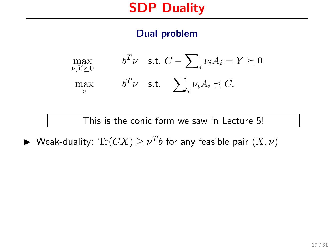### Dual problem

$$
\begin{aligned}\n\max_{\nu, Y \succeq 0} & b^T \nu \quad \text{s.t. } C - \sum_i \nu_i A_i = Y \succeq 0 \\
\max_{\nu} & b^T \nu \quad \text{s.t. } \sum_i \nu_i A_i \preceq C.\n\end{aligned}
$$

### This is the conic form we saw in Lecture 5!

 $\blacktriangleright$  Weak-duality:  $\text{Tr}(CX) \geq \nu^Tb$  for any feasible pair  $(X, \nu)$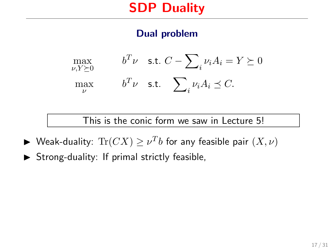### Dual problem

$$
\begin{aligned}\n\max_{\nu, Y \succeq 0} & b^T \nu \quad \text{s.t. } C - \sum_i \nu_i A_i = Y \succeq 0 \\
\max_{\nu} & b^T \nu \quad \text{s.t. } \sum_i \nu_i A_i \preceq C.\n\end{aligned}
$$

- $\blacktriangleright$  Weak-duality:  $\text{Tr}(CX) \geq \nu^Tb$  for any feasible pair  $(X, \nu)$
- $\triangleright$  Strong-duality: If primal strictly feasible,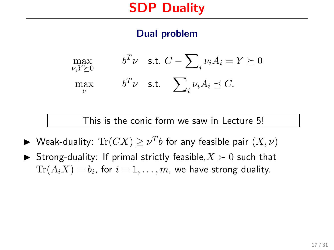### Dual problem

$$
\begin{aligned}\n\max_{\nu, Y \succeq 0} & b^T \nu \quad \text{s.t. } C - \sum_i \nu_i A_i = Y \succeq 0 \\
\max_{\nu} & b^T \nu \quad \text{s.t. } \sum_i \nu_i A_i \preceq C.\n\end{aligned}
$$

- $\blacktriangleright$  Weak-duality:  $\text{Tr}(CX) \geq \nu^Tb$  for any feasible pair  $(X, \nu)$
- Strong-duality: If primal strictly feasible,  $X \succ 0$  such that  $\text{Tr}(A_i X) = b_i$ , for  $i=1,\ldots,m$ , we have strong duality.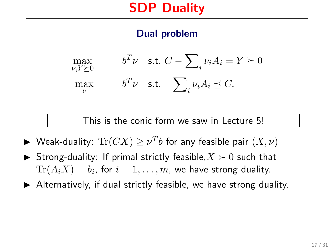### Dual problem

$$
\begin{aligned}\n\max_{\nu, Y \succeq 0} & b^T \nu \quad \text{s.t. } C - \sum_i \nu_i A_i = Y \succeq 0 \\
\max_{\nu} & b^T \nu \quad \text{s.t. } \sum_i \nu_i A_i \preceq C.\n\end{aligned}
$$

- $\blacktriangleright$  Weak-duality:  $\text{Tr}(CX) \geq \nu^Tb$  for any feasible pair  $(X, \nu)$
- Strong-duality: If primal strictly feasible,  $X \succ 0$  such that  $\text{Tr}(A_i X) = b_i$ , for  $i=1,\ldots,m$ , we have strong duality.
- $\blacktriangleright$  Alternatively, if dual strictly feasible, we have strong duality.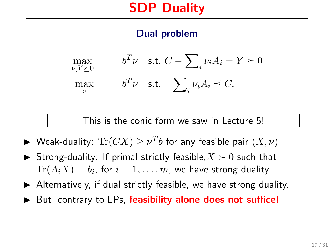### Dual problem

$$
\begin{aligned}\n\max_{\nu, Y \succeq 0} & b^T \nu \quad \text{s.t. } C - \sum_i \nu_i A_i = Y \succeq 0 \\
\max_{\nu} & b^T \nu \quad \text{s.t. } \sum_i \nu_i A_i \preceq C.\n\end{aligned}
$$

- $\blacktriangleright$  Weak-duality:  $\text{Tr}(CX) \geq \nu^Tb$  for any feasible pair  $(X, \nu)$
- Strong-duality: If primal strictly feasible,  $X \succ 0$  such that  $\text{Tr}(A_i X) = b_i$ , for  $i=1,\ldots,m$ , we have strong duality.
- $\blacktriangleright$  Alternatively, if dual strictly feasible, we have strong duality.
- $\triangleright$  But, contrary to LPs, feasibility alone does not suffice!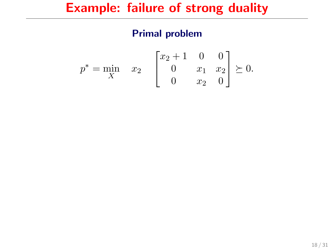$$
p^* = \min_X \quad x_2 \quad \begin{bmatrix} x_2 + 1 & 0 & 0 \\ 0 & x_1 & x_2 \\ 0 & x_2 & 0 \end{bmatrix} \succeq 0.
$$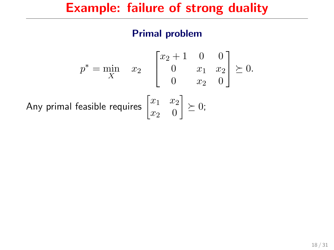$$
p^* = \min_{X} \quad x_2 \quad \begin{bmatrix} x_2 + 1 & 0 & 0 \\ 0 & x_1 & x_2 \\ 0 & x_2 & 0 \end{bmatrix} \succeq 0.
$$
  
Any primal feasible requires 
$$
\begin{bmatrix} x_1 & x_2 \\ x_2 & 0 \end{bmatrix} \succeq 0;
$$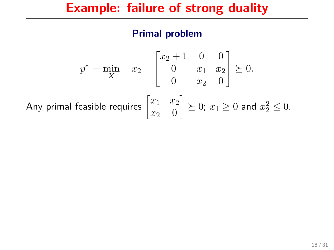$$
p^* = \min_X \quad x_2 \quad \begin{bmatrix} x_2 + 1 & 0 & 0 \\ 0 & x_1 & x_2 \\ 0 & x_2 & 0 \end{bmatrix} \succeq 0.
$$
\nAny primal feasible requires  $\begin{bmatrix} x_1 & x_2 \\ x_2 & 0 \end{bmatrix} \succeq 0$ ;  $x_1 \ge 0$  and  $x_2^2 \le 0$ .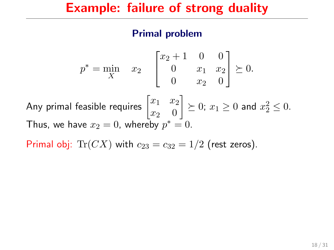#### Primal problem

$$
p^* = \min_{X} \quad x_2 \quad \begin{bmatrix} x_2 + 1 & 0 & 0 \\ 0 & x_1 & x_2 \\ 0 & x_2 & 0 \end{bmatrix} \succeq 0.
$$
  
Any primal feasible requires  $\begin{bmatrix} x_1 & x_2 \\ x_2 & 0 \end{bmatrix} \succeq 0$ ;  $x_1 \ge 0$  and  $x_2^2 \le 0$ .  
Thus, we have  $x_2 = 0$ , whereby  $p^* = 0$ .

Primal obj:  $Tr(CX)$  with  $c_{23} = c_{32} = 1/2$  (rest zeros).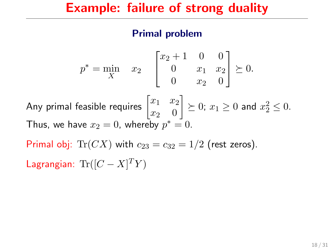$$
p^* = \min_{X} \quad x_2 \quad \begin{bmatrix} x_2 + 1 & 0 & 0 \\ 0 & x_1 & x_2 \\ 0 & x_2 & 0 \end{bmatrix} \succeq 0.
$$
  
\nAny primal feasible requires  $\begin{bmatrix} x_1 & x_2 \\ x_2 & 0 \end{bmatrix} \succeq 0$ ;  $x_1 \ge 0$  and  $x_2^2 \le 0$ .  
\nThus, we have  $x_2 = 0$ , whereby  $p^* = 0$ .  
\nPrimal obj: Tr(CX) with  $c_{23} = c_{32} = 1/2$  (rest zeros).  
\nLagrangian: Tr $([C - X]^T Y)$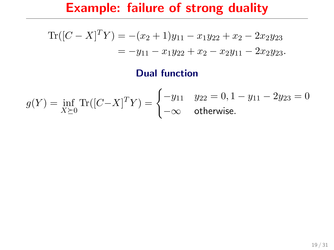$$
\text{Tr}([C-X]^T Y) = -(x_2 + 1)y_{11} - x_1y_{22} + x_2 - 2x_2y_{23}
$$
  
=  $-y_{11} - x_1y_{22} + x_2 - x_2y_{11} - 2x_2y_{23}$ .

### Dual function

$$
g(Y) = \inf_{X \succeq 0} \text{Tr}([C - X]^T Y) = \begin{cases} -y_{11} & y_{22} = 0, 1 - y_{11} - 2y_{23} = 0\\ -\infty & \text{otherwise.} \end{cases}
$$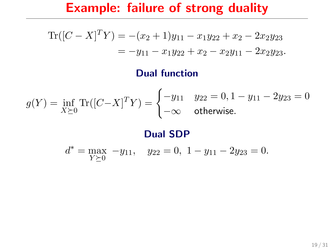$$
\text{Tr}([C-X]^T Y) = -(x_2 + 1)y_{11} - x_1y_{22} + x_2 - 2x_2y_{23}
$$
  
=  $-y_{11} - x_1y_{22} + x_2 - x_2y_{11} - 2x_2y_{23}$ .

#### Dual function

$$
g(Y) = \inf_{X \succeq 0} \text{Tr}([C - X]^T Y) = \begin{cases} -y_{11} & y_{22} = 0, 1 - y_{11} - 2y_{23} = 0\\ -\infty & \text{otherwise.} \end{cases}
$$

#### Dual SDP

 $d^* = \max_{Y \succeq 0} -y_{11}, \quad y_{22} = 0, \quad 1 - y_{11} - 2y_{23} = 0.$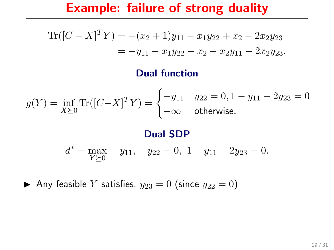### Example: failure of strong duality

$$
\text{Tr}([C-X]^T Y) = -(x_2 + 1)y_{11} - x_1y_{22} + x_2 - 2x_2y_{23}
$$
  
=  $-y_{11} - x_1y_{22} + x_2 - x_2y_{11} - 2x_2y_{23}$ .

#### Dual function

$$
g(Y) = \inf_{X \succeq 0} \text{Tr}([C - X]^T Y) = \begin{cases} -y_{11} & y_{22} = 0, 1 - y_{11} - 2y_{23} = 0\\ -\infty & \text{otherwise.} \end{cases}
$$

#### Dual SDP

$$
d^* = \max_{Y \succeq 0} -y_{11}, \quad y_{22} = 0, \ 1 - y_{11} - 2y_{23} = 0.
$$

Any feasible Y satisfies,  $y_{23} = 0$  (since  $y_{22} = 0$ )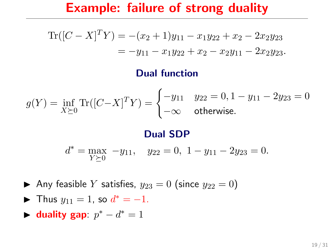### Example: failure of strong duality

$$
\text{Tr}([C-X]^T Y) = -(x_2 + 1)y_{11} - x_1y_{22} + x_2 - 2x_2y_{23}
$$
  
=  $-y_{11} - x_1y_{22} + x_2 - x_2y_{11} - 2x_2y_{23}$ .

#### Dual function

$$
g(Y) = \inf_{X \succeq 0} \text{Tr}([C - X]^T Y) = \begin{cases} -y_{11} & y_{22} = 0, 1 - y_{11} - 2y_{23} = 0\\ -\infty & \text{otherwise.} \end{cases}
$$

#### Dual SDP

$$
d^* = \max_{Y \succeq 0} -y_{11}, \quad y_{22} = 0, \ 1 - y_{11} - 2y_{23} = 0.
$$

Any feasible Y satisfies,  $y_{23} = 0$  (since  $y_{22} = 0$ )

- Thus  $y_{11} = 1$ , so  $d^* = -1$ .
- duality gap:  $p^* d^* = 1$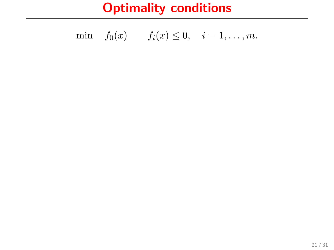min 
$$
f_0(x)
$$
  $f_i(x) \le 0$ ,  $i = 1,..., m$ .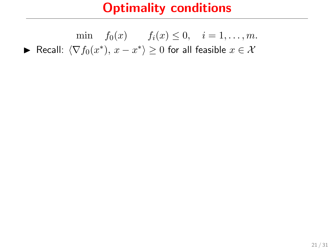$$
\min \quad f_0(x) \qquad f_i(x) \le 0, \quad i = 1, \dots, m.
$$
  
\n
$$
\blacktriangleright \text{ Recall: } \langle \nabla f_0(x^*), x - x^* \rangle \ge 0 \text{ for all feasible } x \in \mathcal{X}
$$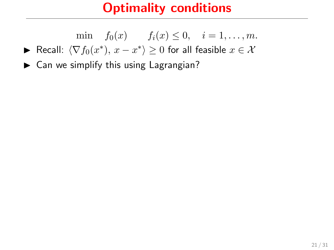min  $f_0(x)$   $f_i(x) \leq 0, \quad i = 1, \ldots, m.$ 

- ► Recall:  $\langle \nabla f_0(x^*), x x^* \rangle \ge 0$  for all feasible  $x \in \mathcal{X}$
- $\blacktriangleright$  Can we simplify this using Lagrangian?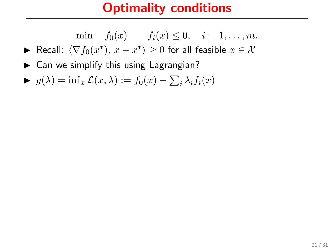min  $f_0(x)$   $f_i(x) \leq 0, \quad i = 1, \ldots, m.$ 

► Recall:  $\langle \nabla f_0(x^*), x - x^* \rangle \ge 0$  for all feasible  $x \in \mathcal{X}$ 

 $\blacktriangleright$  Can we simplify this using Lagrangian?

$$
\blacktriangleright \ g(\lambda) = \inf_x \mathcal{L}(x, \lambda) := f_0(x) + \sum_i \lambda_i f_i(x)
$$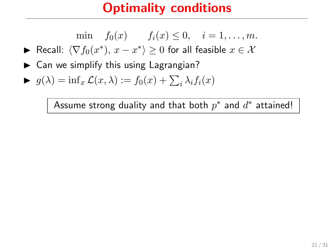min 
$$
f_0(x)
$$
  $f_i(x) \le 0$ ,  $i = 1,..., m$ .

- ► Recall:  $\langle \nabla f_0(x^*), x x^* \rangle \ge 0$  for all feasible  $x \in \mathcal{X}$
- $\triangleright$  Can we simplify this using Lagrangian?

$$
\blacktriangleright \ g(\lambda) = \inf_x \mathcal{L}(x, \lambda) := f_0(x) + \sum_i \lambda_i f_i(x)
$$

Assume strong duality and that both  $p^*$  and  $d^*$  attained!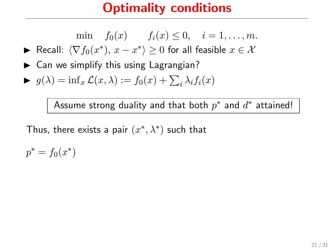min 
$$
f_0(x)
$$
  $f_i(x) \le 0$ ,  $i = 1,..., m$ .

► Recall:  $\langle \nabla f_0(x^*), x - x^* \rangle \ge 0$  for all feasible  $x \in \mathcal{X}$ 

 $\triangleright$  Can we simplify this using Lagrangian?

$$
\blacktriangleright \ g(\lambda) = \inf_x \mathcal{L}(x, \lambda) := f_0(x) + \sum_i \lambda_i f_i(x)
$$

Assume strong duality and that both  $p^*$  and  $d^*$  attained!

Thus, there exists a pair  $(x^*, \lambda^*)$  such that

 $p^* = f_0(x^*)$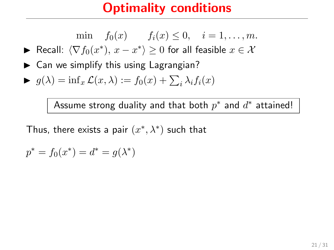min 
$$
f_0(x)
$$
  $f_i(x) \le 0$ ,  $i = 1,..., m$ .

► Recall:  $\langle \nabla f_0(x^*), x - x^* \rangle \ge 0$  for all feasible  $x \in \mathcal{X}$ 

 $\triangleright$  Can we simplify this using Lagrangian?

$$
\blacktriangleright \ g(\lambda) = \inf_x \mathcal{L}(x, \lambda) := f_0(x) + \sum_i \lambda_i f_i(x)
$$

Assume strong duality and that both  $p^*$  and  $d^*$  attained!

$$
p^* = f_0(x^*) = d^* = g(\lambda^*)
$$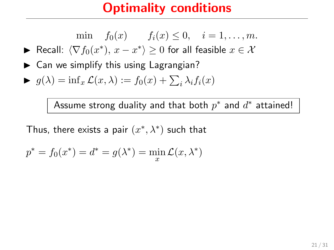min 
$$
f_0(x)
$$
  $f_i(x) \le 0$ ,  $i = 1,..., m$ .

► Recall:  $\langle \nabla f_0(x^*), x - x^* \rangle \ge 0$  for all feasible  $x \in \mathcal{X}$ 

 $\triangleright$  Can we simplify this using Lagrangian?

$$
\blacktriangleright \ g(\lambda) = \inf_x \mathcal{L}(x, \lambda) := f_0(x) + \sum_i \lambda_i f_i(x)
$$

Assume strong duality and that both  $p^*$  and  $d^*$  attained!

$$
p^* = f_0(x^*) = d^* = g(\lambda^*) = \min_{x} \mathcal{L}(x, \lambda^*)
$$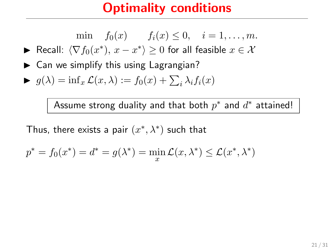min 
$$
f_0(x)
$$
  $f_i(x) \le 0$ ,  $i = 1,..., m$ .

► Recall:  $\langle \nabla f_0(x^*), x - x^* \rangle \ge 0$  for all feasible  $x \in \mathcal{X}$ 

 $\triangleright$  Can we simplify this using Lagrangian?

$$
\blacktriangleright \ g(\lambda) = \inf_x \mathcal{L}(x, \lambda) := f_0(x) + \sum_i \lambda_i f_i(x)
$$

Assume strong duality and that both  $p^*$  and  $d^*$  attained!

$$
p^* = f_0(x^*) = d^* = g(\lambda^*) = \min_x \mathcal{L}(x, \lambda^*) \le \mathcal{L}(x^*, \lambda^*)
$$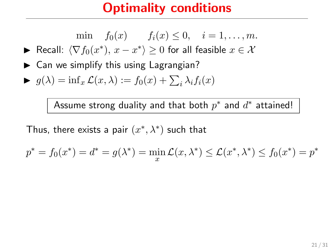min 
$$
f_0(x)
$$
  $f_i(x) \le 0$ ,  $i = 1,..., m$ .

► Recall:  $\langle \nabla f_0(x^*), x - x^* \rangle \ge 0$  for all feasible  $x \in \mathcal{X}$ 

 $\triangleright$  Can we simplify this using Lagrangian?

$$
\blacktriangleright \ g(\lambda) = \inf_x \mathcal{L}(x, \lambda) := f_0(x) + \sum_i \lambda_i f_i(x)
$$

Assume strong duality and that both  $p^*$  and  $d^*$  attained!

$$
p^* = f_0(x^*) = d^* = g(\lambda^*) = \min_x \mathcal{L}(x, \lambda^*) \le \mathcal{L}(x^*, \lambda^*) \le f_0(x^*) = p^*
$$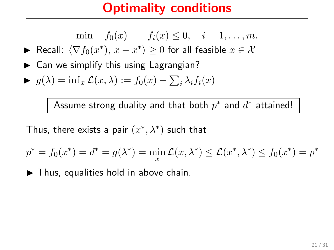min 
$$
f_0(x)
$$
  $f_i(x) \le 0$ ,  $i = 1,..., m$ .

► Recall:  $\langle \nabla f_0(x^*), x - x^* \rangle \ge 0$  for all feasible  $x \in \mathcal{X}$ 

 $\triangleright$  Can we simplify this using Lagrangian?

$$
\blacktriangleright \ g(\lambda) = \inf_x \mathcal{L}(x, \lambda) := f_0(x) + \sum_i \lambda_i f_i(x)
$$

Assume strong duality and that both  $p^*$  and  $d^*$  attained!

Thus, there exists a pair  $(x^*, \lambda^*)$  such that

$$
p^* = f_0(x^*) = d^* = g(\lambda^*) = \min_x \mathcal{L}(x, \lambda^*) \le \mathcal{L}(x^*, \lambda^*) \le f_0(x^*) = p^*
$$

 $\blacktriangleright$  Thus, equalities hold in above chain.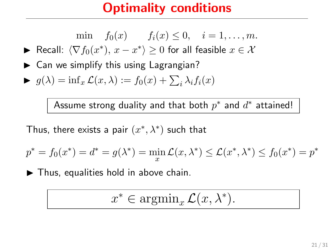min 
$$
f_0(x)
$$
  $f_i(x) \le 0$ ,  $i = 1,..., m$ .

► Recall:  $\langle \nabla f_0(x^*), x - x^* \rangle \ge 0$  for all feasible  $x \in \mathcal{X}$ 

 $\triangleright$  Can we simplify this using Lagrangian?

$$
\blacktriangleright \ g(\lambda) = \inf_x \mathcal{L}(x, \lambda) := f_0(x) + \sum_i \lambda_i f_i(x)
$$

Assume strong duality and that both  $p^*$  and  $d^*$  attained!

Thus, there exists a pair  $(x^*, \lambda^*)$  such that

$$
p^* = f_0(x^*) = d^* = g(\lambda^*) = \min_x \mathcal{L}(x, \lambda^*) \le \mathcal{L}(x^*, \lambda^*) \le f_0(x^*) = p^*
$$

 $\blacktriangleright$  Thus, equalities hold in above chain.

$$
x^* \in \operatorname{argmin}_x \mathcal{L}(x, \lambda^*).
$$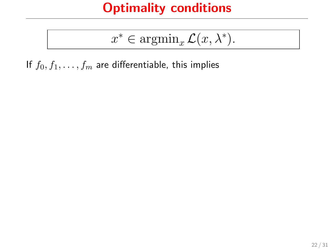$$
x^* \in \operatorname{argmin}_{x} \mathcal{L}(x, \lambda^*).
$$

If  $f_0, f_1, \ldots, f_m$  are differentiable, this implies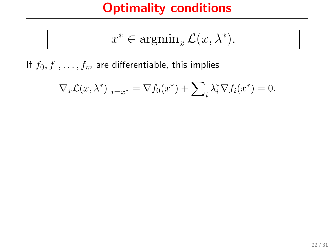$$
x^* \in \operatorname{argmin}_x \mathcal{L}(x, \lambda^*).
$$

If  $f_0, f_1, \ldots, f_m$  are differentiable, this implies

$$
\nabla_x \mathcal{L}(x, \lambda^*)|_{x=x^*} = \nabla f_0(x^*) + \sum_i \lambda_i^* \nabla f_i(x^*) = 0.
$$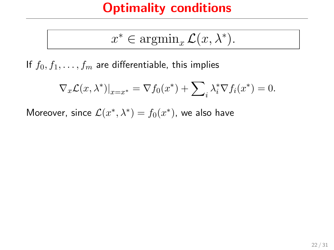$$
x^* \in \operatorname{argmin}_{x} \mathcal{L}(x, \lambda^*).
$$

If  $f_0, f_1, \ldots, f_m$  are differentiable, this implies

$$
\nabla_x \mathcal{L}(x, \lambda^*)|_{x=x^*} = \nabla f_0(x^*) + \sum_i \lambda_i^* \nabla f_i(x^*) = 0.
$$

Moreover, since  $\mathcal{L}(x^*, \lambda^*) = f_0(x^*)$ , we also have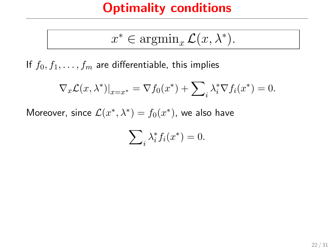$$
x^* \in \operatorname{argmin}_x \mathcal{L}(x, \lambda^*).
$$

If  $f_0, f_1, \ldots, f_m$  are differentiable, this implies

$$
\nabla_x \mathcal{L}(x, \lambda^*)|_{x=x^*} = \nabla f_0(x^*) + \sum_i \lambda_i^* \nabla f_i(x^*) = 0.
$$

Moreover, since  $\mathcal{L}(x^*, \lambda^*) = f_0(x^*)$ , we also have

$$
\sum\nolimits_i \lambda_i^* f_i(x^*) = 0.
$$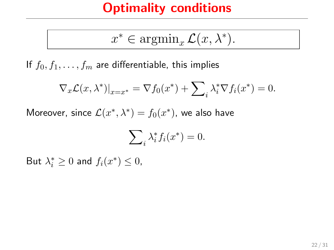$$
x^* \in \operatorname{argmin}_x \mathcal{L}(x, \lambda^*).
$$

If  $f_0, f_1, \ldots, f_m$  are differentiable, this implies

$$
\nabla_x \mathcal{L}(x, \lambda^*)|_{x=x^*} = \nabla f_0(x^*) + \sum_i \lambda_i^* \nabla f_i(x^*) = 0.
$$

Moreover, since  $\mathcal{L}(x^*, \lambda^*) = f_0(x^*)$ , we also have

$$
\sum\nolimits_i \lambda_i^* f_i(x^*) = 0.
$$

But  $\lambda_i^* \geq 0$  and  $f_i(x^*) \leq 0$ ,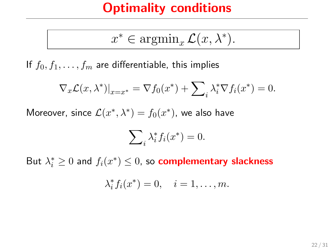$$
x^* \in \operatorname{argmin}_x \mathcal{L}(x, \lambda^*).
$$

If  $f_0, f_1, \ldots, f_m$  are differentiable, this implies

$$
\nabla_x \mathcal{L}(x, \lambda^*)|_{x=x^*} = \nabla f_0(x^*) + \sum_i \lambda_i^* \nabla f_i(x^*) = 0.
$$

Moreover, since  $\mathcal{L}(x^*, \lambda^*) = f_0(x^*)$ , we also have

$$
\sum_{i} \lambda_i^* f_i(x^*) = 0.
$$

But  $\lambda_i^* \geq 0$  and  $f_i(x^*) \leq 0$ , so **complementary slackness** 

$$
\lambda_i^* f_i(x^*) = 0, \quad i = 1, \dots, m.
$$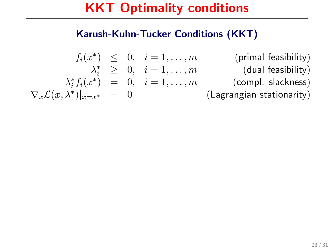#### Karush-Kuhn-Tucker Conditions (KKT)

$$
\begin{array}{rcll} f_i(x^*) & \leq & 0, & i=1,\ldots,m & \text{(primal feasibility)}\\ & & \lambda_i^* & \geq & 0, & i=1,\ldots,m & \text{(dual feasibility)}\\ & & \lambda_i^* f_i(x^*) & = & 0, & i=1,\ldots,m & \text{(compl. slackness)}\\ \nabla_x \mathcal{L}(x,\lambda^*)|_{x=x^*} & = & 0 & \text{(Lagrangian stationarity)} \end{array}
$$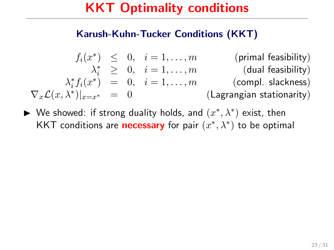#### Karush-Kuhn-Tucker Conditions (KKT)

$$
\begin{array}{rcll} f_i(x^*) & \leq & 0, & i=1,\ldots,m & \text{(primal feasibility)}\\ & & \lambda_i^* & \geq & 0, & i=1,\ldots,m & \text{(dual feasibility)}\\ & & \lambda_i^* f_i(x^*) & = & 0, & i=1,\ldots,m & \text{(compl. slackness)}\\ \nabla_x \mathcal{L}(x,\lambda^*)|_{x=x^*} & = & 0 & \text{(Lagrangian stationarity)} \end{array}
$$

► We showed: if strong duality holds, and  $(x^*, \lambda^*)$  exist, then KKT conditions are **necessary** for pair  $(x^*, \lambda^*)$  to be optimal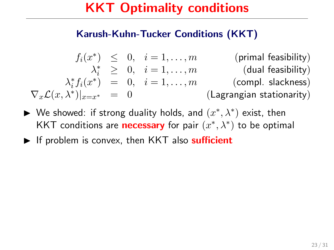#### Karush-Kuhn-Tucker Conditions (KKT)

$$
\begin{array}{rcll} f_i(x^*) & \leq & 0, & i=1,\ldots,m & \text{(primal feasibility)}\\ & & \lambda_i^* & \geq & 0, & i=1,\ldots,m & \text{(dual feasibility)}\\ & & \lambda_i^* f_i(x^*) & = & 0, & i=1,\ldots,m & \text{(compl. slackness)}\\ \nabla_x \mathcal{L}(x,\lambda^*)|_{x=x^*} & = & 0 & \text{(Lagrangian stationarity)} \end{array}
$$

- ► We showed: if strong duality holds, and  $(x^*, \lambda^*)$  exist, then KKT conditions are **necessary** for pair  $(x^*, \lambda^*)$  to be optimal
- $\blacktriangleright$  If problem is convex, then KKT also sufficient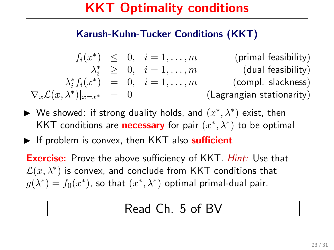#### Karush-Kuhn-Tucker Conditions (KKT)

$$
\begin{array}{rcll} f_i(x^*) & \leq & 0, & i=1,\ldots,m & \text{(primal feasibility)}\\ & & \lambda_i^* & \geq & 0, & i=1,\ldots,m & \text{(dual feasibility)}\\ & & \lambda_i^* f_i(x^*) & = & 0, & i=1,\ldots,m & \text{(compl. slackness)}\\ \nabla_x \mathcal{L}(x,\lambda^*)|_{x=x^*} & = & 0 & & \text{(Lagrangian stationarity)} \end{array}
$$

- ► We showed: if strong duality holds, and  $(x^*, \lambda^*)$  exist, then KKT conditions are **necessary** for pair  $(x^*, \lambda^*)$  to be optimal
- $\blacktriangleright$  If problem is convex, then KKT also sufficient

**Exercise:** Prove the above sufficiency of KKT. *Hint:* Use that  $\mathcal{L}(x,\lambda^*)$  is convex, and conclude from <code>KKT</code> conditions that  $g(\lambda^*) = f_0(x^*)$ , so that  $(x^*, \lambda^*)$  optimal primal-dual pair.

### Read Ch. 5 of BV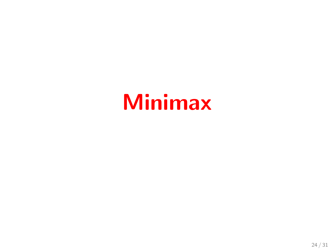# Minimax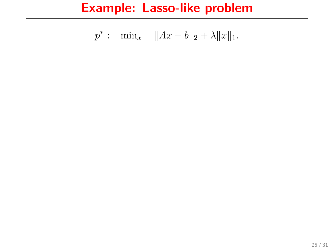$$
p^* := \min_x \quad ||Ax - b||_2 + \lambda ||x||_1.
$$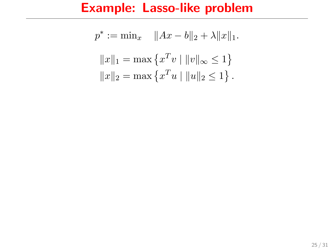$$
p^* := \min_x \quad \|Ax - b\|_2 + \lambda \|x\|_1.
$$

$$
\|x\|_1 = \max \{x^T v \mid \|v\|_\infty \le 1\}
$$

$$
\|x\|_2 = \max \{x^T u \mid \|u\|_2 \le 1\}.
$$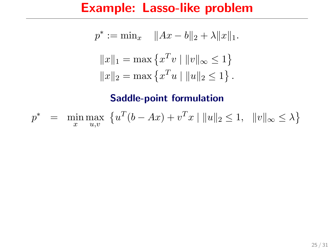$$
p^* := \min_x \quad \|Ax - b\|_2 + \lambda \|x\|_1.
$$

$$
\|x\|_1 = \max \{x^T v \mid \|v\|_\infty \le 1\}
$$

$$
\|x\|_2 = \max \{x^T u \mid \|u\|_2 \le 1\}.
$$

$$
p^* = \min_{x} \max_{u,v} \{ u^T(b - Ax) + v^T x \mid ||u||_2 \le 1, ||v||_{\infty} \le \lambda \}
$$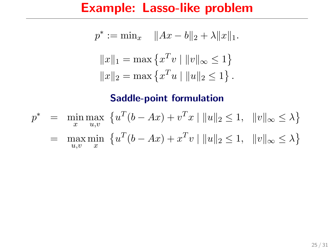$$
p^* := \min_x \quad \|Ax - b\|_2 + \lambda \|x\|_1.
$$

$$
\|x\|_1 = \max \{x^T v \mid \|v\|_\infty \le 1\}
$$

$$
\|x\|_2 = \max \{x^T u \mid \|u\|_2 \le 1\}.
$$

$$
p^* = \min_{x} \max_{u,v} \{ u^T(b - Ax) + v^T x \mid ||u||_2 \le 1, ||v||_{\infty} \le \lambda \}
$$
  
=  $\max_{u,v} \min_{x} \{ u^T(b - Ax) + x^T v \mid ||u||_2 \le 1, ||v||_{\infty} \le \lambda \}$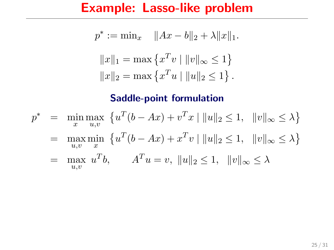$$
p^* := \min_x \quad \|Ax - b\|_2 + \lambda \|x\|_1.
$$

$$
\|x\|_1 = \max \{x^T v \mid \|v\|_\infty \le 1\}
$$

$$
\|x\|_2 = \max \{x^T u \mid \|u\|_2 \le 1\}.
$$

$$
p^* = \min_{x} \max_{u,v} \{ u^T(b - Ax) + v^T x \mid ||u||_2 \le 1, ||v||_{\infty} \le \lambda \}
$$
  
=  $\max_{u,v} \min_{x} \{ u^T(b - Ax) + x^T v \mid ||u||_2 \le 1, ||v||_{\infty} \le \lambda \}$   
=  $\max_{u,v} u^T b$ ,  $A^T u = v$ ,  $||u||_2 \le 1$ ,  $||v||_{\infty} \le \lambda$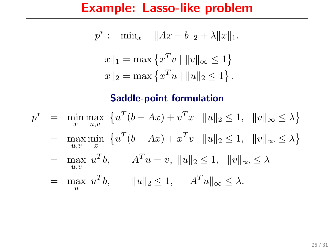$$
p^* := \min_x \quad \|Ax - b\|_2 + \lambda \|x\|_1.
$$

$$
\|x\|_1 = \max \{x^T v \mid \|v\|_\infty \le 1\}
$$

$$
\|x\|_2 = \max \{x^T u \mid \|u\|_2 \le 1\}.
$$

$$
p^* = \min_{x} \max_{u,v} \{ u^T(b - Ax) + v^T x \mid ||u||_2 \le 1, ||v||_{\infty} \le \lambda \}
$$
  
=  $\max_{u,v} \min_{x} \{ u^T(b - Ax) + x^T v \mid ||u||_2 \le 1, ||v||_{\infty} \le \lambda \}$   
=  $\max_{u,v} u^T b$ ,  $A^T u = v$ ,  $||u||_2 \le 1$ ,  $||v||_{\infty} \le \lambda$   
=  $\max_{u} u^T b$ ,  $||u||_2 \le 1$ ,  $||A^T u||_{\infty} \le \lambda$ .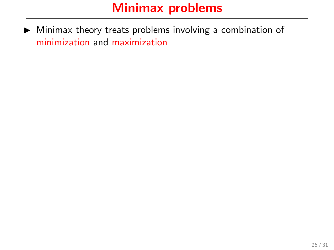$\triangleright$  Minimax theory treats problems involving a combination of minimization and maximization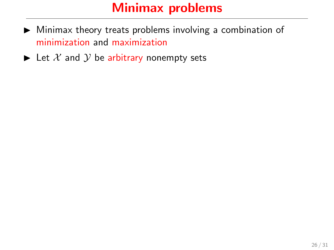- $\triangleright$  Minimax theory treats problems involving a combination of minimization and maximization
- $\blacktriangleright$  Let X and Y be arbitrary nonempty sets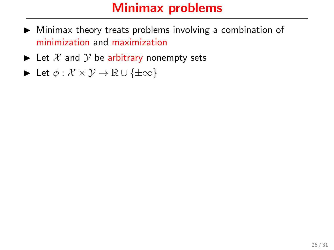- $\triangleright$  Minimax theory treats problems involving a combination of minimization and maximization
- $\blacktriangleright$  Let X and Y be arbitrary nonempty sets
- $\triangleright$  Let  $\phi : \mathcal{X} \times \mathcal{Y} \to \mathbb{R} \cup \{\pm \infty\}$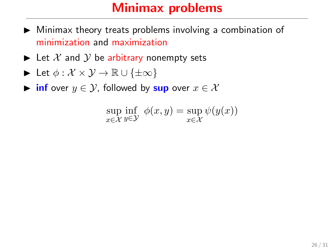- $\triangleright$  Minimax theory treats problems involving a combination of minimization and maximization
- $\blacktriangleright$  Let X and Y be arbitrary nonempty sets

$$
\blacktriangleright \ \text{Let} \ \phi: \mathcal{X} \times \mathcal{Y} \to \mathbb{R} \cup \{\pm \infty\}
$$

 $\triangleright$  inf over  $y \in \mathcal{Y}$ , followed by sup over  $x \in \mathcal{X}$ 

$$
\sup_{x \in \mathcal{X}} \inf_{y \in \mathcal{Y}} \phi(x, y) = \sup_{x \in \mathcal{X}} \psi(y(x))
$$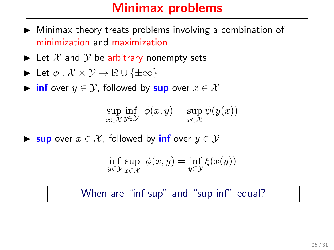### Minimax problems

- $\blacktriangleright$  Minimax theory treats problems involving a combination of minimization and maximization
- $\blacktriangleright$  Let X and Y be arbitrary nonempty sets

$$
\blacktriangleright \ \mathsf{Let} \ \phi: \mathcal{X} \times \mathcal{Y} \to \mathbb{R} \cup \{\pm \infty\}
$$

 $\triangleright$  inf over  $y \in \mathcal{Y}$ , followed by sup over  $x \in \mathcal{X}$ 

$$
\sup_{x \in \mathcal{X}} \inf_{y \in \mathcal{Y}} \phi(x, y) = \sup_{x \in \mathcal{X}} \psi(y(x))
$$

**► sup** over  $x \in \mathcal{X}$ , followed by **inf** over  $y \in \mathcal{Y}$ 

$$
\inf_{y \in \mathcal{Y}} \sup_{x \in \mathcal{X}} \phi(x, y) = \inf_{y \in \mathcal{Y}} \xi(x(y))
$$

#### When are "inf sup" and "sup inf" equal?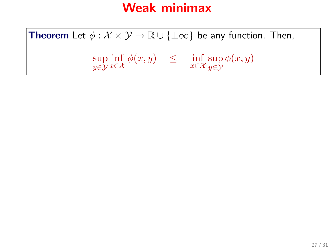**Theorem** Let  $\phi : \mathcal{X} \times \mathcal{Y} \to \mathbb{R} \cup \{\pm \infty\}$  be any function. Then,

sup y∈Y  $\inf_{x \in \mathcal{X}} \phi(x, y) \leq \inf_{x \in \mathcal{X}} \sup_{y \in \mathcal{Y}}$ y∈Y  $\phi(x,y)$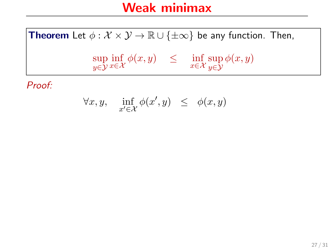$$
\forall x, y, \quad \inf_{x' \in \mathcal{X}} \phi(x', y) \leq \phi(x, y)
$$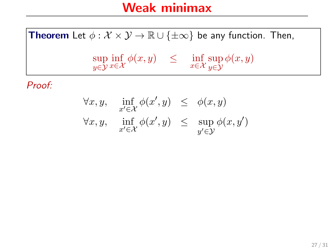$$
\forall x, y, \quad \inf_{x' \in \mathcal{X}} \phi(x', y) \leq \phi(x, y)
$$
  

$$
\forall x, y, \quad \inf_{x' \in \mathcal{X}} \phi(x', y) \leq \sup_{y' \in \mathcal{Y}} \phi(x, y')
$$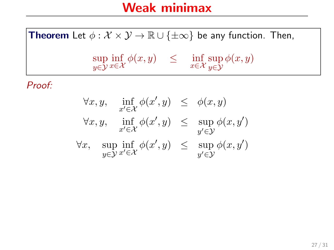$$
\forall x, y, \quad \inf_{x' \in \mathcal{X}} \phi(x', y) \leq \phi(x, y)
$$
  

$$
\forall x, y, \quad \inf_{x' \in \mathcal{X}} \phi(x', y) \leq \sup_{y' \in \mathcal{Y}} \phi(x, y')
$$
  

$$
\forall x, \quad \sup_{y \in \mathcal{Y}} \inf_{x' \in \mathcal{X}} \phi(x', y) \leq \sup_{y' \in \mathcal{Y}} \phi(x, y')
$$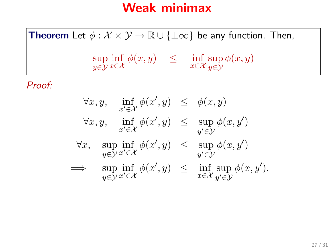$$
\forall x, y, \quad \inf_{x' \in \mathcal{X}} \phi(x', y) \leq \phi(x, y)
$$
  

$$
\forall x, y, \quad \inf_{x' \in \mathcal{X}} \phi(x', y) \leq \sup_{y' \in \mathcal{Y}} \phi(x, y')
$$
  

$$
\forall x, \quad \sup_{y \in \mathcal{Y}} \inf_{x' \in \mathcal{X}} \phi(x', y) \leq \sup_{y' \in \mathcal{Y}} \phi(x, y')
$$
  

$$
\implies \quad \sup_{y \in \mathcal{Y}} \inf_{x' \in \mathcal{X}} \phi(x', y) \leq \inf_{x \in \mathcal{X}} \sup_{y' \in \mathcal{Y}} \phi(x, y').
$$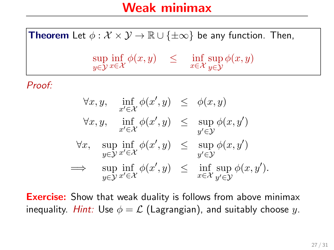**Theorem** Let  $\phi : \mathcal{X} \times \mathcal{Y} \to \mathbb{R} \cup \{\pm \infty\}$  be any function. Then, sup y∈Y  $\inf_{x \in \mathcal{X}} \phi(x, y) \leq \inf_{x \in \mathcal{X}} \sup_{y \in \mathcal{Y}}$ y∈Y  $\phi(x,y)$ Proof:

$$
\forall x, y, \quad \inf_{x' \in \mathcal{X}} \phi(x', y) \leq \phi(x, y)
$$
  

$$
\forall x, y, \quad \inf_{x' \in \mathcal{X}} \phi(x', y) \leq \sup_{y' \in \mathcal{Y}} \phi(x, y')
$$
  

$$
\forall x, \quad \sup_{y \in \mathcal{Y}} \inf_{x' \in \mathcal{X}} \phi(x', y) \leq \sup_{y' \in \mathcal{Y}} \phi(x, y')
$$
  

$$
\implies \quad \sup_{y \in \mathcal{Y}} \inf_{x' \in \mathcal{X}} \phi(x', y) \leq \inf_{x \in \mathcal{X}} \sup_{y' \in \mathcal{Y}} \phi(x, y').
$$

**Exercise:** Show that weak duality is follows from above minimax inequality. Hint: Use  $\phi = \mathcal{L}$  (Lagrangian), and suitably choose y.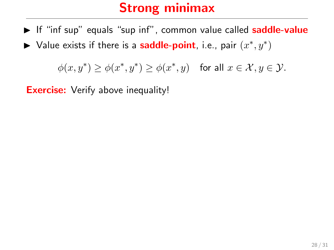- $\triangleright$  If "inf sup" equals "sup inf", common value called **saddle-value**
- ► Value exists if there is a **saddle-point**, i.e., pair  $(x^*, y^*)$

 $\phi(x, y^*) \ge \phi(x^*, y^*) \ge \phi(x^*, y)$  for all  $x \in \mathcal{X}, y \in \mathcal{Y}$ .

**Exercise:** Verify above inequality!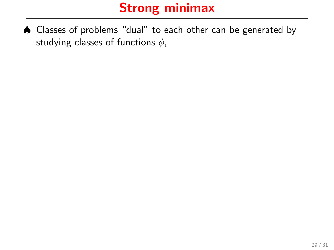♠ Classes of problems "dual" to each other can be generated by studying classes of functions  $\phi$ ,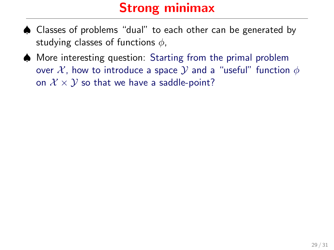- ♠ Classes of problems "dual" to each other can be generated by studying classes of functions  $\phi$ ,
- ♠ More interesting question: Starting from the primal problem over X, how to introduce a space Y and a "useful" function  $\phi$ on  $\mathcal{X} \times \mathcal{Y}$  so that we have a saddle-point?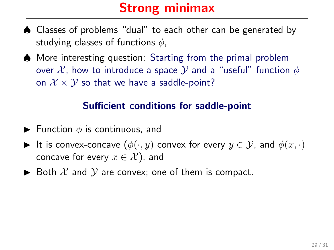- ♠ Classes of problems "dual" to each other can be generated by studying classes of functions  $\phi$ ,
- ♠ More interesting question: Starting from the primal problem over X, how to introduce a space  $\mathcal Y$  and a "useful" function  $\phi$ on  $\mathcal{X} \times \mathcal{Y}$  so that we have a saddle-point?

#### Sufficient conditions for saddle-point

- **Function**  $\phi$  is continuous, and
- It is convex-concave  $(\phi(\cdot, y)$  convex for every  $y \in \mathcal{Y}$ , and  $\phi(x, \cdot)$ concave for every  $x \in \mathcal{X}$ ), and
- $\triangleright$  Both X and Y are convex; one of them is compact.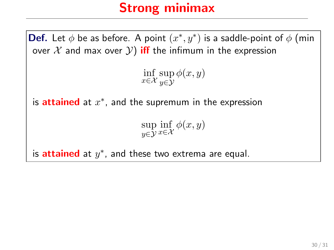**Def.** Let  $\phi$  be as before. A point  $(x^*, y^*)$  is a saddle-point of  $\phi$  (min over  $X$  and max over  $Y$ ) iff the infimum in the expression  $\inf_{x \in \mathcal{X}} \sup_{y \in \mathcal{Y}}$ y∈Y  $\phi(x,y)$ is attained at  $x^*$ , and the supremum in the expression sup y∈Y  $\inf_{x \in \mathcal{X}} \phi(x, y)$ is **attained** at  $y^*$ , and these two extrema are equal.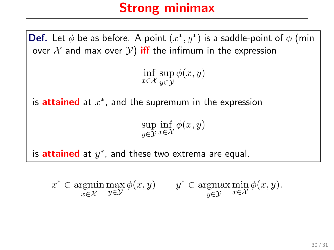**Def.** Let  $\phi$  be as before. A point  $(x^*, y^*)$  is a saddle-point of  $\phi$  (min over  $X$  and max over  $Y$ ) iff the infimum in the expression  $\inf_{x \in \mathcal{X}} \sup_{y \in \mathcal{Y}}$ y∈Y  $\phi(x,y)$ is attained at  $x^*$ , and the supremum in the expression sup y∈Y  $\inf_{x \in \mathcal{X}} \phi(x, y)$ is **attained** at  $y^*$ , and these two extrema are equal.

 $x^* \in \text{argmin}$ x∈X  $\max_{y \in \mathcal{Y}} \phi(x, y)$   $y^* \in \operatorname*{argmax}_{y \in \mathcal{Y}}$ y∈Y  $\min_{x \in \mathcal{X}} \phi(x, y).$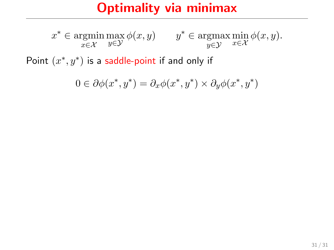### Optimality via minimax

 $x^* \in \text{argmin}$ x∈X  $\max_{y \in \mathcal{Y}} \phi(x, y)$   $y^* \in \operatorname*{argmax}_{y \in \mathcal{Y}}$ y∈Y  $\min_{x \in \mathcal{X}} \phi(x, y).$ 

Point  $(x^*, y^*)$  is a saddle-point if and only if

$$
0\in\partial\phi(x^*,y^*)=\partial_x\phi(x^*,y^*)\times\partial_y\phi(x^*,y^*)
$$